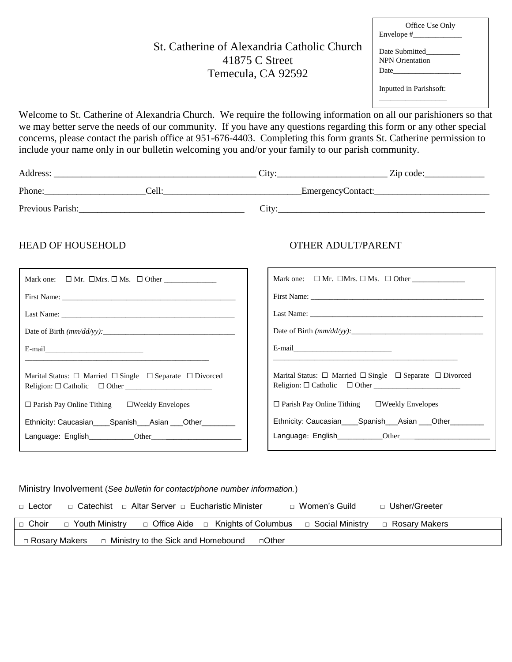# St. Catherine of Alexandria Catholic Church 41875 C Street Temecula, CA 92592

| Office Use Only        |
|------------------------|
| Envelope #             |
|                        |
|                        |
| Date Submitted         |
| <b>NPN</b> Orientation |

Inputted in Parishsoft: \_\_\_\_\_\_\_\_\_\_\_\_\_\_\_\_\_\_

Date

Welcome to St. Catherine of Alexandria Church. We require the following information on all our parishioners so that we may better serve the needs of our community. If you have any questions regarding this form or any other special concerns, please contact the parish office at 951-676-4403. Completing this form grants St. Catherine permission to include your name only in our bulletin welcoming you and/or your family to our parish community.

| Address:         |       | $\mathcal{L}$ ity: | Zip code:         |
|------------------|-------|--------------------|-------------------|
| Phone:           | Cell: |                    | EmergencyContact: |
| Previous Parish: |       | City:              |                   |

### HEAD OF HOUSEHOLD OTHER ADULT/PARENT

| Date of Birth $\frac{mm}{dd}{\cdot}$ .                                                                                 |                                                                                                                        |
|------------------------------------------------------------------------------------------------------------------------|------------------------------------------------------------------------------------------------------------------------|
|                                                                                                                        |                                                                                                                        |
| <u> 1989 - Andrea Santa Alemania, amerikana amerikana amerikana amerikana amerikana amerikana amerikana amerikana</u>  |                                                                                                                        |
| Marital Status: $\Box$ Married $\Box$ Single $\Box$ Separate $\Box$ Divorced<br>Religion: $\Box$ Catholic $\Box$ Other | Marital Status: $\Box$ Married $\Box$ Single $\Box$ Separate $\Box$ Divorced<br>Religion: $\Box$ Catholic $\Box$ Other |
| $\Box$ Parish Pay Online Tithing $\Box$ Weekly Envelopes                                                               | $\Box$ Parish Pay Online Tithing $\Box$ Weekly Envelopes                                                               |
| Ethnicity: Caucasian_____Spanish____Asian ____Other__________                                                          | Ethnicity: Caucasian_____Spanish____Asian ____Other_________                                                           |
|                                                                                                                        |                                                                                                                        |
|                                                                                                                        |                                                                                                                        |

#### Ministry Involvement (*See bulletin for contact/phone number information.*)

| $\Box$ Lector   | _⊓_Catechist     |                                               | ⊓_Women's Guild   | □ Usher/Greeter |
|-----------------|------------------|-----------------------------------------------|-------------------|-----------------|
| □ Choir         | □ Youth Ministry | $\Box$ Office Aide $\Box$ Knights of Columbus | □ Social Ministry | □ Rosary Makers |
| □ Rosary Makers |                  | □ Ministry to the Sick and Homebound          | ⊟Other            |                 |